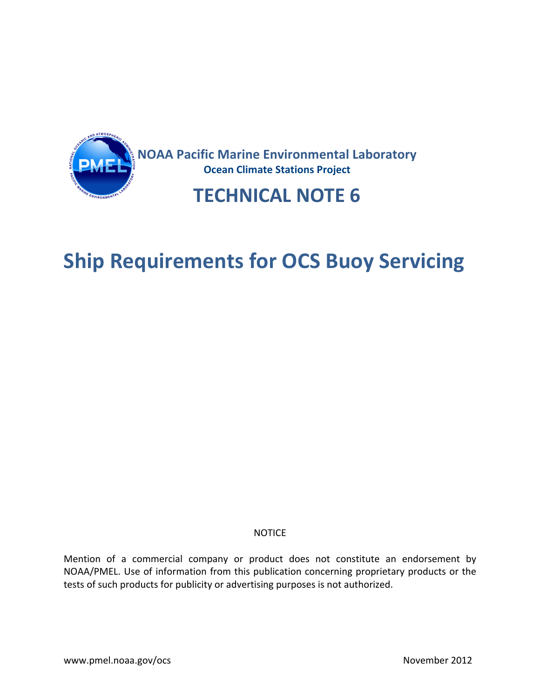

## **Ship Requirements for OCS Buoy Servicing**

## NOTICE

Mention of a commercial company or product does not constitute an endorsement by NOAA/PMEL. Use of information from this publication concerning proprietary products or the tests of such products for publicity or advertising purposes is not authorized.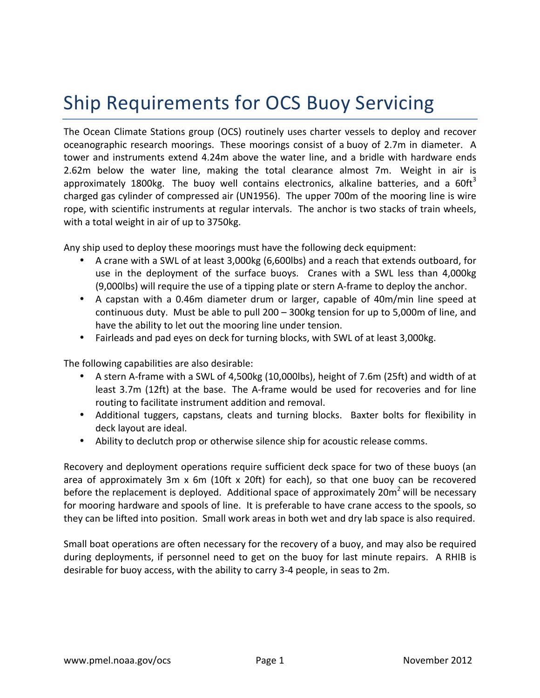## Ship Requirements for OCS Buoy Servicing

The Ocean Climate Stations group (OCS) routinely uses charter vessels to deploy and recover oceanographic research moorings. These moorings consist of a buoy of 2.7m in diameter. A tower and instruments extend 4.24m above the water line, and a bridle with hardware ends 2.62m below the water line, making the total clearance almost  $7m$ . Weight in air is approximately 1800kg. The buoy well contains electronics, alkaline batteries, and a  $60\text{ft}^3$ charged gas cylinder of compressed air (UN1956). The upper 700m of the mooring line is wire rope, with scientific instruments at regular intervals. The anchor is two stacks of train wheels, with a total weight in air of up to 3750kg.

Any ship used to deploy these moorings must have the following deck equipment:

- A crane with a SWL of at least 3,000kg (6,600lbs) and a reach that extends outboard, for use in the deployment of the surface buoys. Cranes with a SWL less than 4,000kg (9,000lbs) will require the use of a tipping plate or stern A-frame to deploy the anchor.
- A capstan with a 0.46m diameter drum or larger, capable of 40m/min line speed at continuous duty. Must be able to pull 200 – 300kg tension for up to 5,000m of line, and have the ability to let out the mooring line under tension.
- Fairleads and pad eyes on deck for turning blocks, with SWL of at least 3,000kg.

The following capabilities are also desirable:

- A stern A-frame with a SWL of 4,500kg (10,000lbs), height of 7.6m (25ft) and width of at least 3.7m (12ft) at the base. The A-frame would be used for recoveries and for line routing to facilitate instrument addition and removal.
- Additional tuggers, capstans, cleats and turning blocks. Baxter bolts for flexibility in deck layout are ideal.
- Ability to declutch prop or otherwise silence ship for acoustic release comms.

Recovery and deployment operations require sufficient deck space for two of these buoys (an area of approximately 3m  $x$  6m (10ft  $x$  20ft) for each), so that one buoy can be recovered before the replacement is deployed. Additional space of approximately 20 $m^2$  will be necessary for mooring hardware and spools of line. It is preferable to have crane access to the spools, so they can be lifted into position. Small work areas in both wet and dry lab space is also required.

Small boat operations are often necessary for the recovery of a buoy, and may also be required during deployments, if personnel need to get on the buoy for last minute repairs. A RHIB is desirable for buoy access, with the ability to carry 3-4 people, in seas to 2m.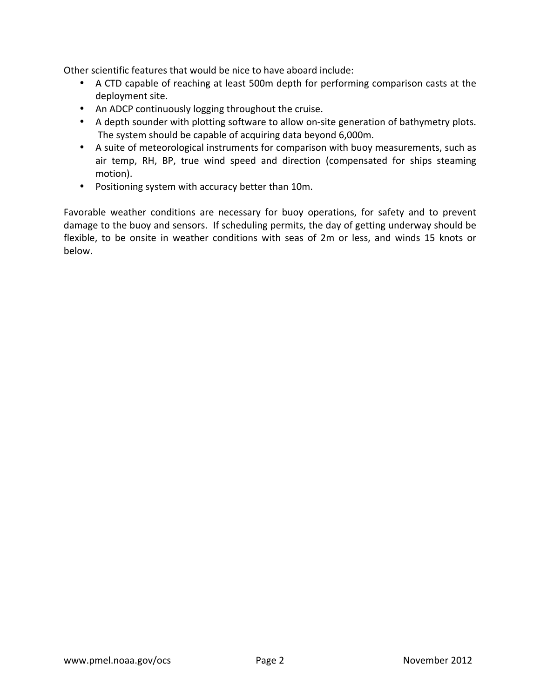Other scientific features that would be nice to have aboard include:

- A CTD capable of reaching at least 500m depth for performing comparison casts at the deployment site.
- An ADCP continuously logging throughout the cruise.
- A depth sounder with plotting software to allow on-site generation of bathymetry plots. The system should be capable of acquiring data beyond 6,000m.
- A suite of meteorological instruments for comparison with buoy measurements, such as air temp, RH, BP, true wind speed and direction (compensated for ships steaming motion).
- Positioning system with accuracy better than 10m.

Favorable weather conditions are necessary for buoy operations, for safety and to prevent damage to the buoy and sensors. If scheduling permits, the day of getting underway should be flexible, to be onsite in weather conditions with seas of 2m or less, and winds 15 knots or below.